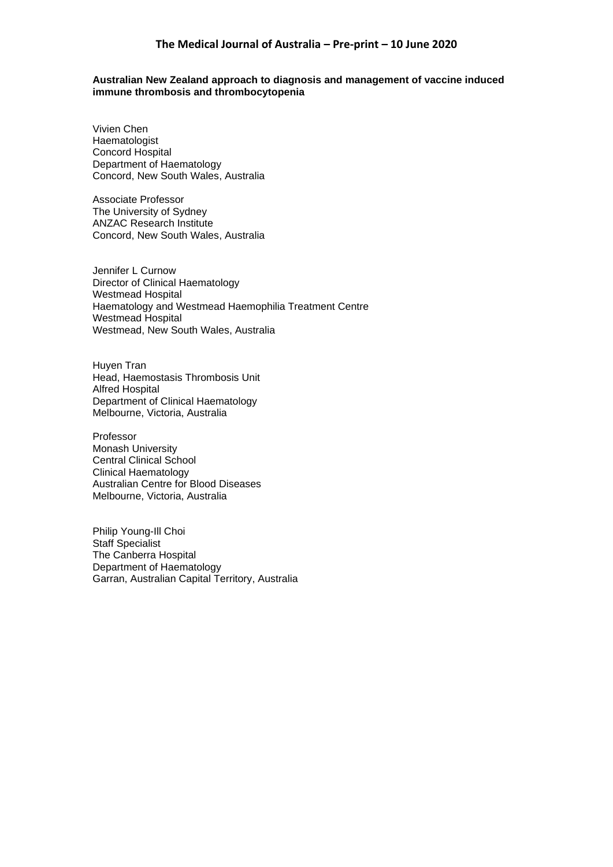#### **Australian New Zealand approach to diagnosis and management of vaccine induced immune thrombosis and thrombocytopenia**

Vivien Chen Haematologist Concord Hospital Department of Haematology Concord, New South Wales, Australia

Associate Professor The University of Sydney ANZAC Research Institute Concord, New South Wales, Australia

Jennifer L Curnow Director of Clinical Haematology Westmead Hospital Haematology and Westmead Haemophilia Treatment Centre Westmead Hospital Westmead, New South Wales, Australia

Huyen Tran Head, Haemostasis Thrombosis Unit Alfred Hospital Department of Clinical Haematology Melbourne, Victoria, Australia

Professor Monash University Central Clinical School Clinical Haematology Australian Centre for Blood Diseases Melbourne, Victoria, Australia

Philip Young-Ill Choi Staff Specialist The Canberra Hospital Department of Haematology Garran, Australian Capital Territory, Australia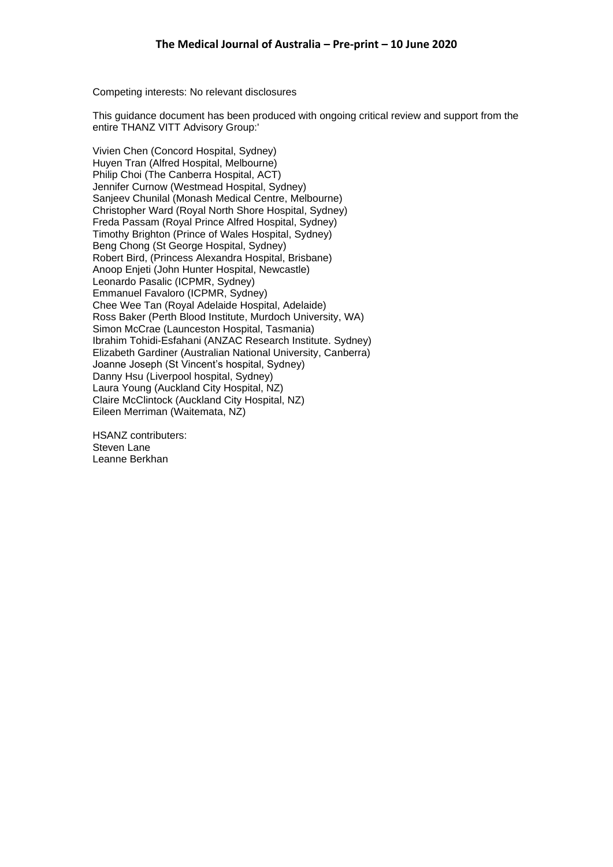Competing interests: No relevant disclosures

This guidance document has been produced with ongoing critical review and support from the entire THANZ VITT Advisory Group:'

Vivien Chen (Concord Hospital, Sydney) Huyen Tran (Alfred Hospital, Melbourne) Philip Choi (The Canberra Hospital, ACT) Jennifer Curnow (Westmead Hospital, Sydney) Sanjeev Chunilal (Monash Medical Centre, Melbourne) Christopher Ward (Royal North Shore Hospital, Sydney) Freda Passam (Royal Prince Alfred Hospital, Sydney) Timothy Brighton (Prince of Wales Hospital, Sydney) Beng Chong (St George Hospital, Sydney) Robert Bird, (Princess Alexandra Hospital, Brisbane) Anoop Enjeti (John Hunter Hospital, Newcastle) Leonardo Pasalic (ICPMR, Sydney) Emmanuel Favaloro (ICPMR, Sydney) Chee Wee Tan (Royal Adelaide Hospital, Adelaide) Ross Baker (Perth Blood Institute, Murdoch University, WA) Simon McCrae (Launceston Hospital, Tasmania) Ibrahim Tohidi-Esfahani (ANZAC Research Institute. Sydney) Elizabeth Gardiner (Australian National University, Canberra) Joanne Joseph (St Vincent's hospital, Sydney) Danny Hsu (Liverpool hospital, Sydney) Laura Young (Auckland City Hospital, NZ) Claire McClintock (Auckland City Hospital, NZ) Eileen Merriman (Waitemata, NZ)

HSANZ contributers: Steven Lane Leanne Berkhan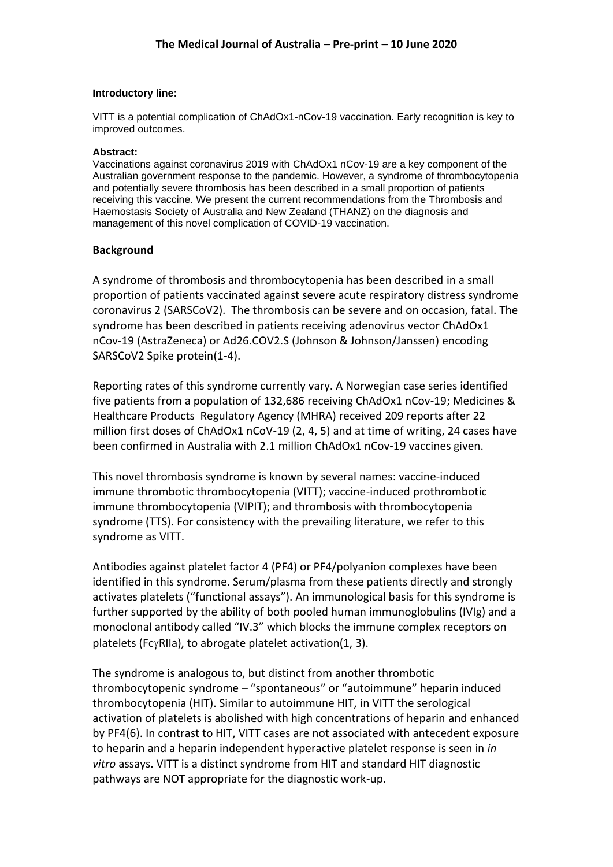#### **Introductory line:**

VITT is a potential complication of ChAdOx1-nCov-19 vaccination. Early recognition is key to improved outcomes.

### **Abstract:**

Vaccinations against coronavirus 2019 with ChAdOx1 nCov-19 are a key component of the Australian government response to the pandemic. However, a syndrome of thrombocytopenia and potentially severe thrombosis has been described in a small proportion of patients receiving this vaccine. We present the current recommendations from the Thrombosis and Haemostasis Society of Australia and New Zealand (THANZ) on the diagnosis and management of this novel complication of COVID-19 vaccination.

# **Background**

A syndrome of thrombosis and thrombocytopenia has been described in a small proportion of patients vaccinated against severe acute respiratory distress syndrome coronavirus 2 (SARSCoV2). The thrombosis can be severe and on occasion, fatal. The syndrome has been described in patients receiving adenovirus vector ChAdOx1 nCov-19 (AstraZeneca) or Ad26.COV2.S (Johnson & Johnson/Janssen) encoding SARSCoV2 Spike protein(1-4).

Reporting rates of this syndrome currently vary. A Norwegian case series identified five patients from a population of 132,686 receiving ChAdOx1 nCov-19; Medicines & Healthcare Products Regulatory Agency (MHRA) received 209 reports after 22 million first doses of ChAdOx1 nCoV-19 (2, 4, 5) and at time of writing, 24 cases have been confirmed in Australia with 2.1 million ChAdOx1 nCov-19 vaccines given.

This novel thrombosis syndrome is known by several names: vaccine-induced immune thrombotic thrombocytopenia (VITT); vaccine-induced prothrombotic immune thrombocytopenia (VIPIT); and thrombosis with thrombocytopenia syndrome (TTS). For consistency with the prevailing literature, we refer to this syndrome as VITT.

Antibodies against platelet factor 4 (PF4) or PF4/polyanion complexes have been identified in this syndrome. Serum/plasma from these patients directly and strongly activates platelets ("functional assays"). An immunological basis for this syndrome is further supported by the ability of both pooled human immunoglobulins (IVIg) and a monoclonal antibody called "IV.3" which blocks the immune complex receptors on platelets (Fc $\gamma$ RIIa), to abrogate platelet activation(1, 3).

The syndrome is analogous to, but distinct from another thrombotic thrombocytopenic syndrome – "spontaneous" or "autoimmune" heparin induced thrombocytopenia (HIT). Similar to autoimmune HIT, in VITT the serological activation of platelets is abolished with high concentrations of heparin and enhanced by PF4(6). In contrast to HIT, VITT cases are not associated with antecedent exposure to heparin and a heparin independent hyperactive platelet response is seen in *in vitro* assays. VITT is a distinct syndrome from HIT and standard HIT diagnostic pathways are NOT appropriate for the diagnostic work-up.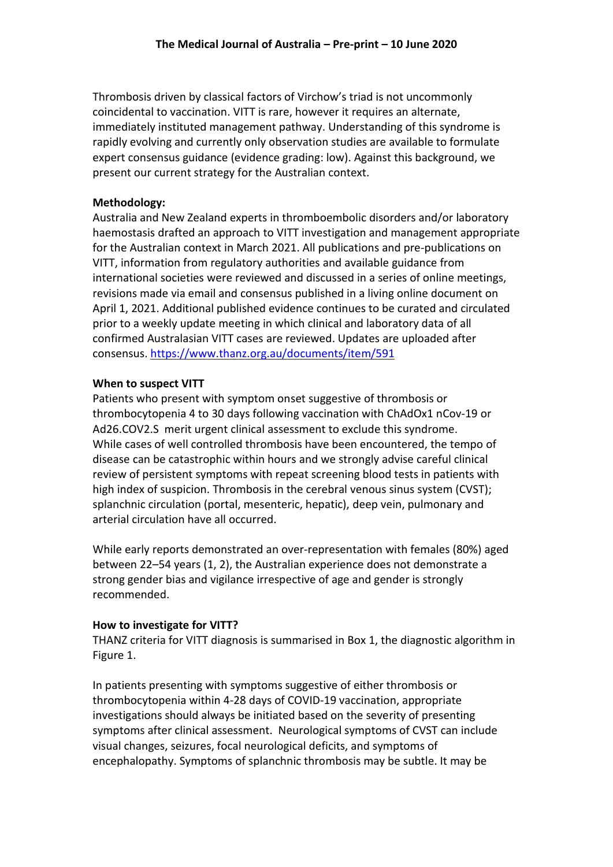Thrombosis driven by classical factors of Virchow's triad is not uncommonly coincidental to vaccination. VITT is rare, however it requires an alternate, immediately instituted management pathway. Understanding of this syndrome is rapidly evolving and currently only observation studies are available to formulate expert consensus guidance (evidence grading: low). Against this background, we present our current strategy for the Australian context.

# **Methodology:**

Australia and New Zealand experts in thromboembolic disorders and/or laboratory haemostasis drafted an approach to VITT investigation and management appropriate for the Australian context in March 2021. All publications and pre-publications on VITT, information from regulatory authorities and available guidance from international societies were reviewed and discussed in a series of online meetings, revisions made via email and consensus published in a living online document on April 1, 2021. Additional published evidence continues to be curated and circulated prior to a weekly update meeting in which clinical and laboratory data of all confirmed Australasian VITT cases are reviewed. Updates are uploaded after consensus. <https://www.thanz.org.au/documents/item/591>

# **When to suspect VITT**

Patients who present with symptom onset suggestive of thrombosis or thrombocytopenia 4 to 30 days following vaccination with ChAdOx1 nCov-19 or Ad26.COV2.S merit urgent clinical assessment to exclude this syndrome. While cases of well controlled thrombosis have been encountered, the tempo of disease can be catastrophic within hours and we strongly advise careful clinical review of persistent symptoms with repeat screening blood tests in patients with high index of suspicion. Thrombosis in the cerebral venous sinus system (CVST); splanchnic circulation (portal, mesenteric, hepatic), deep vein, pulmonary and arterial circulation have all occurred.

While early reports demonstrated an over-representation with females (80%) aged between 22–54 years (1, 2), the Australian experience does not demonstrate a strong gender bias and vigilance irrespective of age and gender is strongly recommended.

# **How to investigate for VITT?**

THANZ criteria for VITT diagnosis is summarised in Box 1, the diagnostic algorithm in Figure 1.

In patients presenting with symptoms suggestive of either thrombosis or thrombocytopenia within 4-28 days of COVID-19 vaccination, appropriate investigations should always be initiated based on the severity of presenting symptoms after clinical assessment. Neurological symptoms of CVST can include visual changes, seizures, focal neurological deficits, and symptoms of encephalopathy. Symptoms of splanchnic thrombosis may be subtle. It may be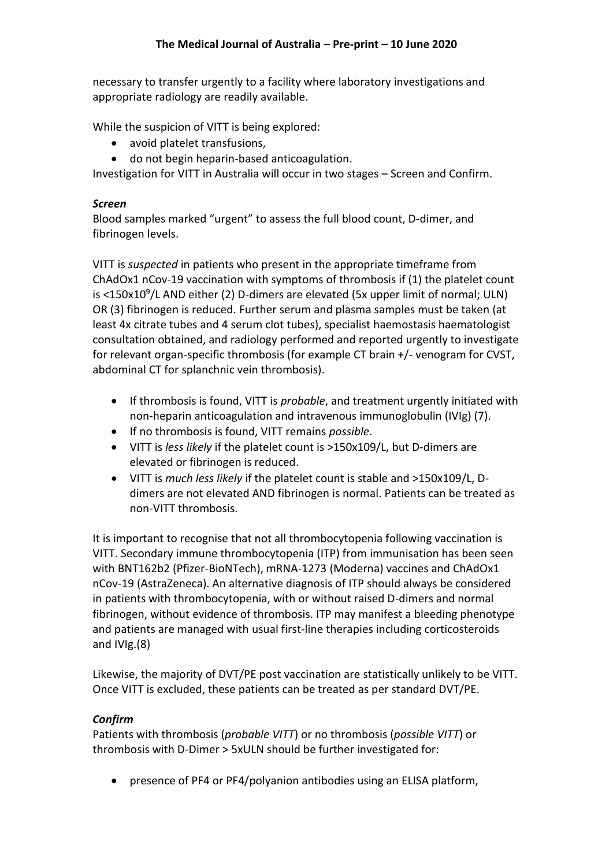necessary to transfer urgently to a facility where laboratory investigations and appropriate radiology are readily available.

While the suspicion of VITT is being explored:

- avoid platelet transfusions,
- do not begin heparin-based anticoagulation.

Investigation for VITT in Australia will occur in two stages – Screen and Confirm.

# *Screen*

Blood samples marked "urgent" to assess the full blood count, D-dimer, and fibrinogen levels.

VITT is *suspected* in patients who present in the appropriate timeframe from ChAdOx1 nCov-19 vaccination with symptoms of thrombosis if (1) the platelet count is <150x10<sup>9</sup>/L AND either (2) D-dimers are elevated (5x upper limit of normal; ULN) OR (3) fibrinogen is reduced. Further serum and plasma samples must be taken (at least 4x citrate tubes and 4 serum clot tubes), specialist haemostasis haematologist consultation obtained, and radiology performed and reported urgently to investigate for relevant organ-specific thrombosis (for example CT brain +/- venogram for CVST, abdominal CT for splanchnic vein thrombosis).

- If thrombosis is found, VITT is *probable*, and treatment urgently initiated with non-heparin anticoagulation and intravenous immunoglobulin (IVIg) (7).
- If no thrombosis is found, VITT remains *possible*.
- VITT is *less likely* if the platelet count is >150x109/L, but D-dimers are elevated or fibrinogen is reduced.
- VITT is *much less likely* if the platelet count is stable and >150x109/L, Ddimers are not elevated AND fibrinogen is normal. Patients can be treated as non-VITT thrombosis.

It is important to recognise that not all thrombocytopenia following vaccination is VITT. Secondary immune thrombocytopenia (ITP) from immunisation has been seen with BNT162b2 (Pfizer-BioNTech), mRNA-1273 (Moderna) vaccines and ChAdOx1 nCov-19 (AstraZeneca). An alternative diagnosis of ITP should always be considered in patients with thrombocytopenia, with or without raised D-dimers and normal fibrinogen, without evidence of thrombosis. ITP may manifest a bleeding phenotype and patients are managed with usual first-line therapies including corticosteroids and IVIg.(8)

Likewise, the majority of DVT/PE post vaccination are statistically unlikely to be VITT. Once VITT is excluded, these patients can be treated as per standard DVT/PE.

# *Confirm*

Patients with thrombosis (*probable VITT*) or no thrombosis (*possible VITT*) or thrombosis with D-Dimer > 5xULN should be further investigated for:

• presence of PF4 or PF4/polyanion antibodies using an ELISA platform,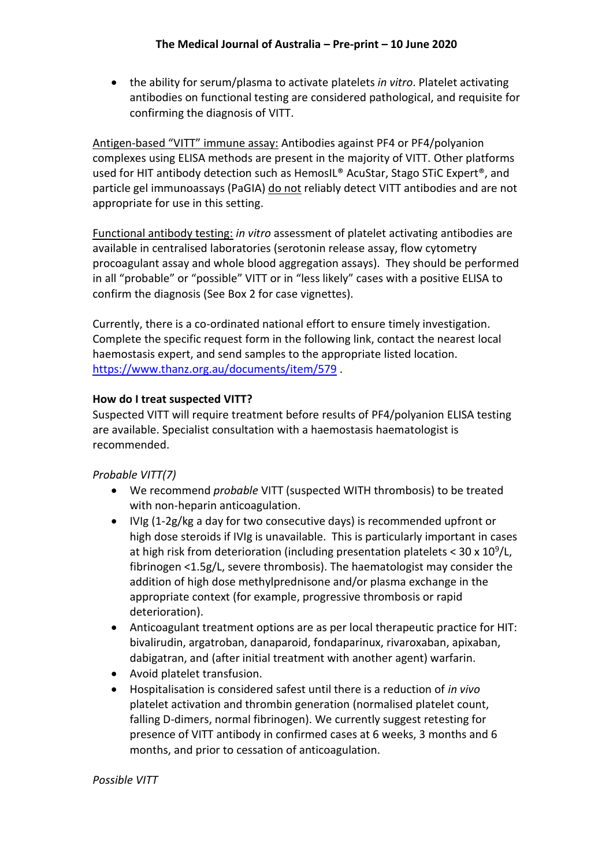• the ability for serum/plasma to activate platelets *in vitro*. Platelet activating antibodies on functional testing are considered pathological, and requisite for confirming the diagnosis of VITT.

Antigen-based "VITT" immune assay: Antibodies against PF4 or PF4/polyanion complexes using ELISA methods are present in the majority of VITT. Other platforms used for HIT antibody detection such as HemosIL® AcuStar, Stago STiC Expert®, and particle gel immunoassays (PaGIA) do not reliably detect VITT antibodies and are not appropriate for use in this setting.

Functional antibody testing: *in vitro* assessment of platelet activating antibodies are available in centralised laboratories (serotonin release assay, flow cytometry procoagulant assay and whole blood aggregation assays). They should be performed in all "probable" or "possible" VITT or in "less likely" cases with a positive ELISA to confirm the diagnosis (See Box 2 for case vignettes).

Currently, there is a co-ordinated national effort to ensure timely investigation. Complete the specific request form in the following link, contact the nearest local haemostasis expert, and send samples to the appropriate listed location. <https://www.thanz.org.au/documents/item/579> .

# **How do I treat suspected VITT?**

Suspected VITT will require treatment before results of PF4/polyanion ELISA testing are available. Specialist consultation with a haemostasis haematologist is recommended.

# *Probable VITT(7)*

- We recommend *probable* VITT (suspected WITH thrombosis) to be treated with non-heparin anticoagulation.
- IVIg (1-2g/kg a day for two consecutive days) is recommended upfront or high dose steroids if IVIg is unavailable. This is particularly important in cases at high risk from deterioration (including presentation platelets <  $30 \times 10^9$ /L, fibrinogen <1.5g/L, severe thrombosis). The haematologist may consider the addition of high dose methylprednisone and/or plasma exchange in the appropriate context (for example, progressive thrombosis or rapid deterioration).
- Anticoagulant treatment options are as per local therapeutic practice for HIT: bivalirudin, argatroban, danaparoid, fondaparinux, rivaroxaban, apixaban, dabigatran, and (after initial treatment with another agent) warfarin.
- Avoid platelet transfusion.
- Hospitalisation is considered safest until there is a reduction of *in vivo* platelet activation and thrombin generation (normalised platelet count, falling D-dimers, normal fibrinogen). We currently suggest retesting for presence of VITT antibody in confirmed cases at 6 weeks, 3 months and 6 months, and prior to cessation of anticoagulation.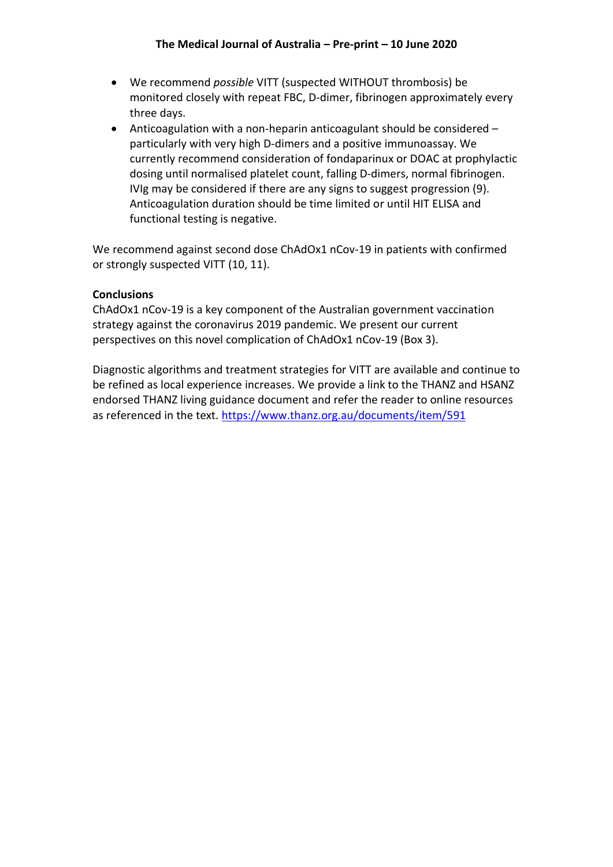- We recommend *possible* VITT (suspected WITHOUT thrombosis) be monitored closely with repeat FBC, D-dimer, fibrinogen approximately every three days.
- Anticoagulation with a non-heparin anticoagulant should be considered particularly with very high D-dimers and a positive immunoassay. We currently recommend consideration of fondaparinux or DOAC at prophylactic dosing until normalised platelet count, falling D-dimers, normal fibrinogen. IVIg may be considered if there are any signs to suggest progression (9). Anticoagulation duration should be time limited or until HIT ELISA and functional testing is negative.

We recommend against second dose ChAdOx1 nCov-19 in patients with confirmed or strongly suspected VITT (10, 11).

# **Conclusions**

ChAdOx1 nCov-19 is a key component of the Australian government vaccination strategy against the coronavirus 2019 pandemic. We present our current perspectives on this novel complication of ChAdOx1 nCov-19 (Box 3).

Diagnostic algorithms and treatment strategies for VITT are available and continue to be refined as local experience increases. We provide a link to the THANZ and HSANZ endorsed THANZ living guidance document and refer the reader to online resources as referenced in the text. https://www.thanz.org.au/documents/item/591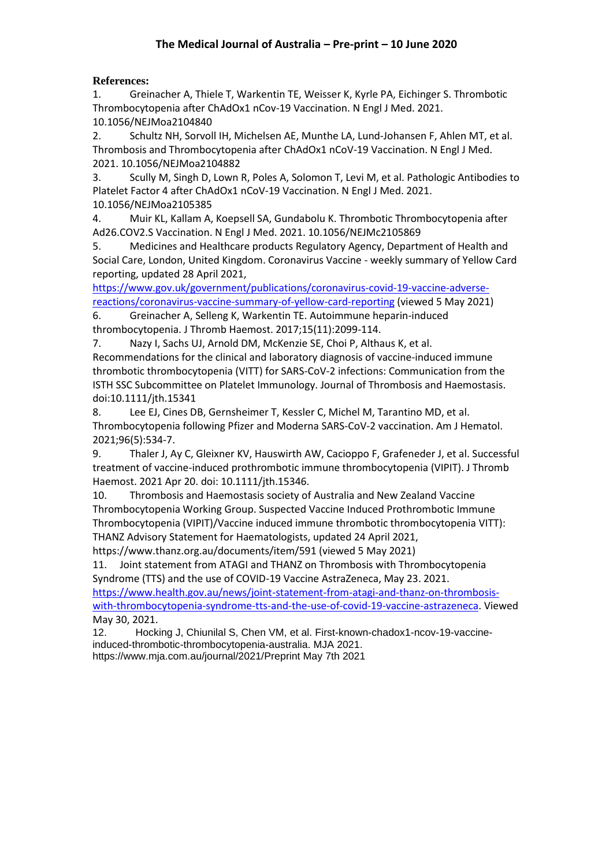# **References:**

1. Greinacher A, Thiele T, Warkentin TE, Weisser K, Kyrle PA, Eichinger S. Thrombotic Thrombocytopenia after ChAdOx1 nCov-19 Vaccination. N Engl J Med. 2021. 10.1056/NEJMoa2104840

2. Schultz NH, Sorvoll IH, Michelsen AE, Munthe LA, Lund-Johansen F, Ahlen MT, et al. Thrombosis and Thrombocytopenia after ChAdOx1 nCoV-19 Vaccination. N Engl J Med. 2021. 10.1056/NEJMoa2104882

3. Scully M, Singh D, Lown R, Poles A, Solomon T, Levi M, et al. Pathologic Antibodies to Platelet Factor 4 after ChAdOx1 nCoV-19 Vaccination. N Engl J Med. 2021. 10.1056/NEJMoa2105385

4. Muir KL, Kallam A, Koepsell SA, Gundabolu K. Thrombotic Thrombocytopenia after Ad26.COV2.S Vaccination. N Engl J Med. 2021. 10.1056/NEJMc2105869

5. Medicines and Healthcare products Regulatory Agency, Department of Health and Social Care, London, United Kingdom. Coronavirus Vaccine - weekly summary of Yellow Card reporting, updated 28 April 2021,

[https://www.gov.uk/government/publications/coronavirus-covid-19-vaccine-adverse](https://www.gov.uk/government/publications/coronavirus-covid-19-vaccine-adverse-reactions/coronavirus-vaccine-summary-of-yellow-card-reporting)[reactions/coronavirus-vaccine-summary-of-yellow-card-reporting](https://www.gov.uk/government/publications/coronavirus-covid-19-vaccine-adverse-reactions/coronavirus-vaccine-summary-of-yellow-card-reporting) (viewed 5 May 2021)

6. Greinacher A, Selleng K, Warkentin TE. Autoimmune heparin-induced thrombocytopenia. J Thromb Haemost. 2017;15(11):2099-114.

7. Nazy I, Sachs UJ, Arnold DM, McKenzie SE, Choi P, Althaus K, et al. Recommendations for the clinical and laboratory diagnosis of vaccine‐induced immune thrombotic thrombocytopenia (VITT) for SARS‐CoV‐2 infections: Communication from the ISTH SSC Subcommittee on Platelet Immunology. Journal of Thrombosis and Haemostasis. doi:10.1111/jth.15341

8. Lee EJ, Cines DB, Gernsheimer T, Kessler C, Michel M, Tarantino MD, et al. Thrombocytopenia following Pfizer and Moderna SARS-CoV-2 vaccination. Am J Hematol. 2021;96(5):534-7.

9. Thaler J, Ay C, Gleixner KV, Hauswirth AW, Cacioppo F, Grafeneder J, et al. Successful treatment of vaccine-induced prothrombotic immune thrombocytopenia (VIPIT). J Thromb Haemost. 2021 Apr 20. doi: 10.1111/jth.15346.

10. Thrombosis and Haemostasis society of Australia and New Zealand Vaccine Thrombocytopenia Working Group. Suspected Vaccine Induced Prothrombotic Immune Thrombocytopenia (VIPIT)/Vaccine induced immune thrombotic thrombocytopenia VITT): THANZ Advisory Statement for Haematologists, updated 24 April 2021,

https://www.thanz.org.au/documents/item/591 (viewed 5 May 2021)

11. Joint statement from ATAGI and THANZ on Thrombosis with Thrombocytopenia Syndrome (TTS) and the use of COVID-19 Vaccine AstraZeneca, May 23. 2021.

[https://www.health.gov.au/news/joint-statement-from-atagi-and-thanz-on-thrombosis](https://www.health.gov.au/news/joint-statement-from-atagi-and-thanz-on-thrombosis-with-thrombocytopenia-syndrome-tts-and-the-use-of-covid-19-vaccine-astrazeneca)[with-thrombocytopenia-syndrome-tts-and-the-use-of-covid-19-vaccine-astrazeneca.](https://www.health.gov.au/news/joint-statement-from-atagi-and-thanz-on-thrombosis-with-thrombocytopenia-syndrome-tts-and-the-use-of-covid-19-vaccine-astrazeneca) Viewed May 30, 2021.

12. Hocking J, Chiunilal S, Chen VM, et al. First-known-chadox1-ncov-19-vaccineinduced-thrombotic-thrombocytopenia-australia. MJA 2021. https://www.mja.com.au/journal/2021/Preprint May 7th 2021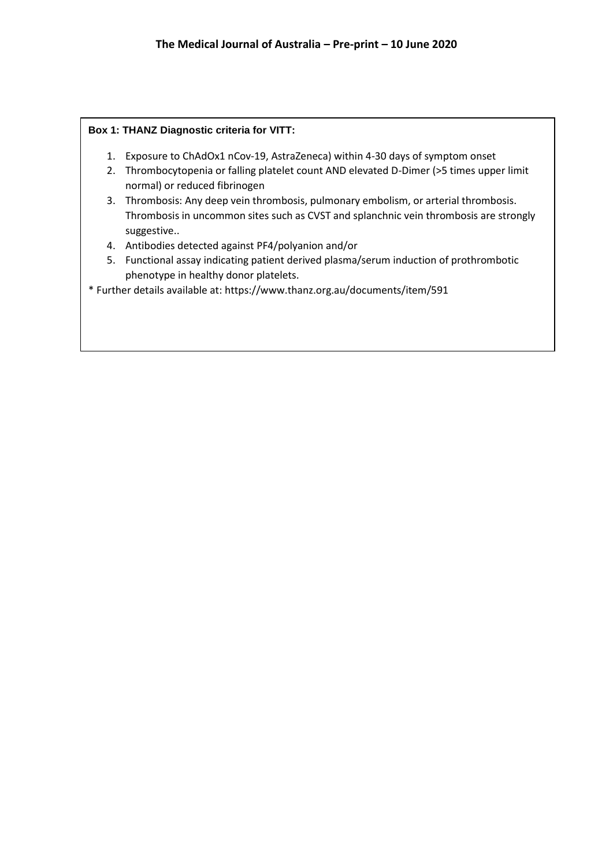## **Box 1: THANZ Diagnostic criteria for VITT:**

- 1. Exposure to ChAdOx1 nCov-19, AstraZeneca) within 4-30 days of symptom onset
- 2. Thrombocytopenia or falling platelet count AND elevated D-Dimer (>5 times upper limit normal) or reduced fibrinogen
- 3. Thrombosis: Any deep vein thrombosis, pulmonary embolism, or arterial thrombosis. Thrombosis in uncommon sites such as CVST and splanchnic vein thrombosis are strongly suggestive..
- 4. Antibodies detected against PF4/polyanion and/or
- 5. Functional assay indicating patient derived plasma/serum induction of prothrombotic phenotype in healthy donor platelets.

\* Further details available at: https://www.thanz.org.au/documents/item/591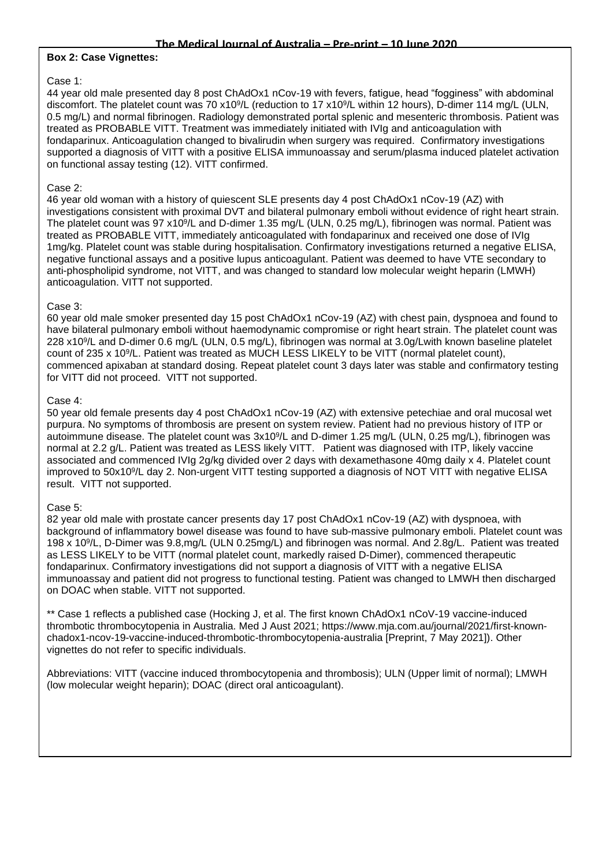### **Box 2: Case Vignettes:**

### Case 1:

44 year old male presented day 8 post ChAdOx1 nCov-19 with fevers, fatigue, head "fogginess" with abdominal discomfort. The platelet count was 70 x10<sup>9</sup>/L (reduction to 17 x10<sup>9</sup>/L within 12 hours), D-dimer 114 mg/L (ULN, 0.5 mg/L) and normal fibrinogen. Radiology demonstrated portal splenic and mesenteric thrombosis. Patient was treated as PROBABLE VITT. Treatment was immediately initiated with IVIg and anticoagulation with fondaparinux. Anticoagulation changed to bivalirudin when surgery was required. Confirmatory investigations supported a diagnosis of VITT with a positive ELISA immunoassay and serum/plasma induced platelet activation on functional assay testing (12). VITT confirmed.

## Case 2:

46 year old woman with a history of quiescent SLE presents day 4 post ChAdOx1 nCov-19 (AZ) with investigations consistent with proximal DVT and bilateral pulmonary emboli without evidence of right heart strain. The platelet count was 97 x10<sup>9</sup>/L and D-dimer 1.35 mg/L (ULN, 0.25 mg/L), fibrinogen was normal. Patient was treated as PROBABLE VITT, immediately anticoagulated with fondaparinux and received one dose of IVIg 1mg/kg. Platelet count was stable during hospitalisation. Confirmatory investigations returned a negative ELISA, negative functional assays and a positive lupus anticoagulant. Patient was deemed to have VTE secondary to anti-phospholipid syndrome, not VITT, and was changed to standard low molecular weight heparin (LMWH) anticoagulation. VITT not supported.

### Case 3:

60 year old male smoker presented day 15 post ChAdOx1 nCov-19 (AZ) with chest pain, dyspnoea and found to have bilateral pulmonary emboli without haemodynamic compromise or right heart strain. The platelet count was 228 x10<sup>9</sup> /L and D-dimer 0.6 mg/L (ULN, 0.5 mg/L), fibrinogen was normal at 3.0g/Lwith known baseline platelet count of 235 x 10<sup>9</sup>/L. Patient was treated as MUCH LESS LIKELY to be VITT (normal platelet count), commenced apixaban at standard dosing. Repeat platelet count 3 days later was stable and confirmatory testing for VITT did not proceed. VITT not supported.

### Case 4:

50 year old female presents day 4 post ChAdOx1 nCov-19 (AZ) with extensive petechiae and oral mucosal wet purpura. No symptoms of thrombosis are present on system review. Patient had no previous history of ITP or autoimmune disease. The platelet count was 3x10<sup>9</sup>/L and D-dimer 1.25 mg/L (ULN, 0.25 mg/L), fibrinogen was normal at 2.2 g/L. Patient was treated as LESS likely VITT. Patient was diagnosed with ITP, likely vaccine associated and commenced IVIg 2g/kg divided over 2 days with dexamethasone 40mg daily x 4. Platelet count improved to 50x10<sup>9</sup> /L day 2. Non-urgent VITT testing supported a diagnosis of NOT VITT with negative ELISA result. VITT not supported.

## Case 5:

82 year old male with prostate cancer presents day 17 post ChAdOx1 nCov-19 (AZ) with dyspnoea, with background of inflammatory bowel disease was found to have sub-massive pulmonary emboli. Platelet count was 198 x 10<sup>9</sup> /L, D-Dimer was 9.8,mg/L (ULN 0.25mg/L) and fibrinogen was normal. And 2.8g/L. Patient was treated as LESS LIKELY to be VITT (normal platelet count, markedly raised D-Dimer), commenced therapeutic fondaparinux. Confirmatory investigations did not support a diagnosis of VITT with a negative ELISA immunoassay and patient did not progress to functional testing. Patient was changed to LMWH then discharged on DOAC when stable. VITT not supported.

\*\* Case 1 reflects a published case (Hocking J, et al. The first known ChAdOx1 nCoV-19 vaccine-induced thrombotic thrombocytopenia in Australia. Med J Aust 2021; https://www.mja.com.au/journal/2021/first-knownchadox1-ncov-19-vaccine-induced-thrombotic-thrombocytopenia-australia [Preprint, 7 May 2021]). Other vignettes do not refer to specific individuals.

Abbreviations: VITT (vaccine induced thrombocytopenia and thrombosis); ULN (Upper limit of normal); LMWH (low molecular weight heparin); DOAC (direct oral anticoagulant).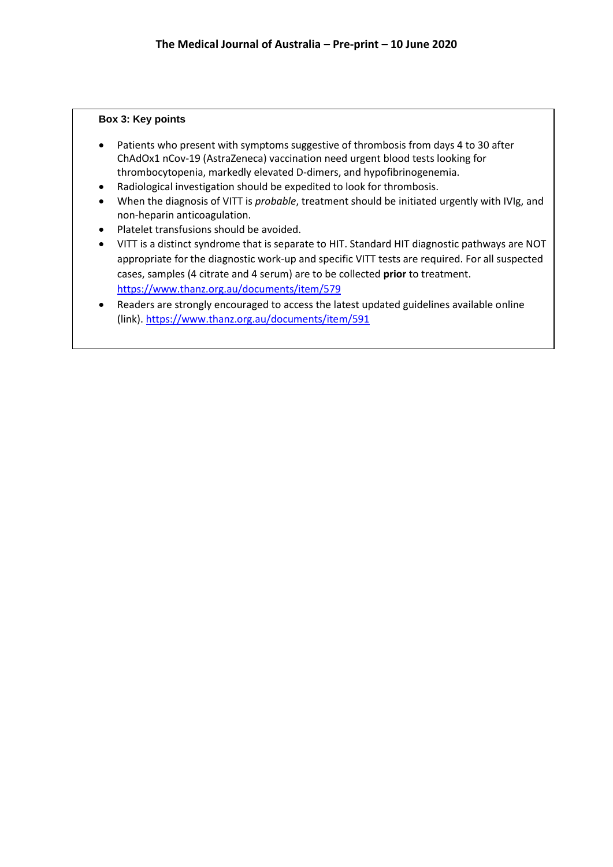### **Box 3: Key points**

- Patients who present with symptoms suggestive of thrombosis from days 4 to 30 after ChAdOx1 nCov-19 (AstraZeneca) vaccination need urgent blood tests looking for thrombocytopenia, markedly elevated D-dimers, and hypofibrinogenemia.
- Radiological investigation should be expedited to look for thrombosis.
- When the diagnosis of VITT is *probable*, treatment should be initiated urgently with IVIg, and non-heparin anticoagulation.
- Platelet transfusions should be avoided.
- VITT is a distinct syndrome that is separate to HIT. Standard HIT diagnostic pathways are NOT appropriate for the diagnostic work-up and specific VITT tests are required. For all suspected cases, samples (4 citrate and 4 serum) are to be collected **prior** to treatment. <https://www.thanz.org.au/documents/item/579>
- Readers are strongly encouraged to access the latest updated guidelines available online (link)[. https://www.thanz.org.au/documents/item/591](https://www.thanz.org.au/documents/item/591)